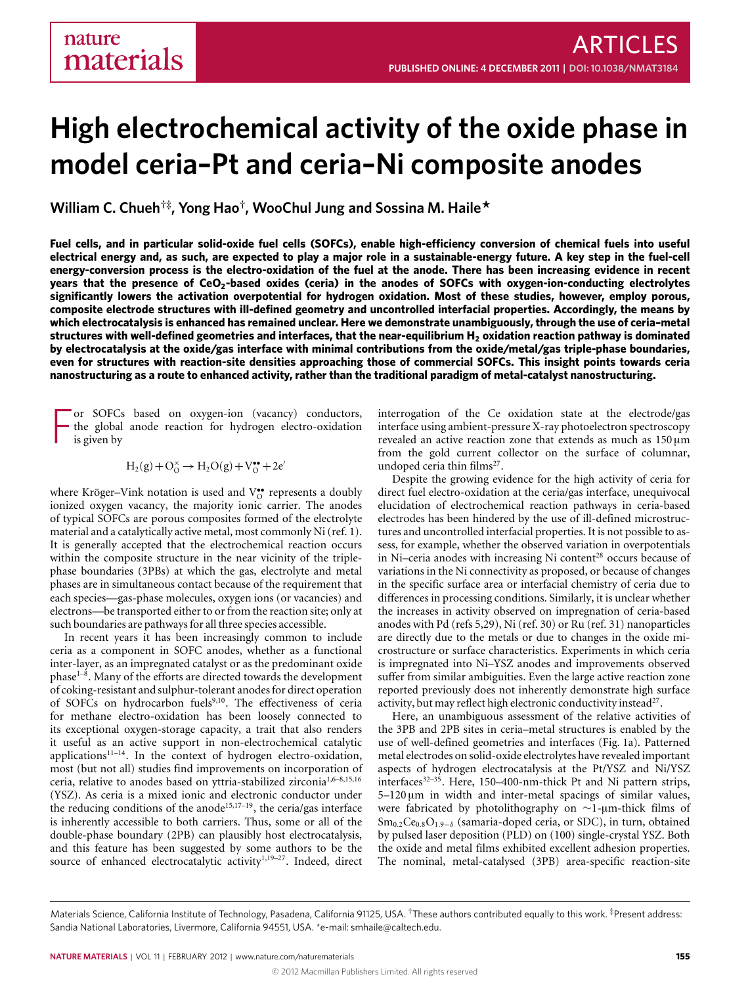# **High electrochemical activity of the oxide phase in model ceria–Pt and ceria–Ni composite anodes**

**William C. Chueh†‡, Yong Hao† , WooChul Jung and Sossina M. Haile\***

**Fuel cells, and in particular solid-oxide fuel cells (SOFCs), enable high-efficiency conversion of chemical fuels into useful electrical energy and, as such, are expected to play a major role in a sustainable-energy future. A key step in the fuel-cell energy-conversion process is the electro-oxidation of the fuel at the anode. There has been increasing evidence in recent years that the presence of CeO2-based oxides (ceria) in the anodes of SOFCs with oxygen-ion-conducting electrolytes significantly lowers the activation overpotential for hydrogen oxidation. Most of these studies, however, employ porous, composite electrode structures with ill-defined geometry and uncontrolled interfacial properties. Accordingly, the means by which electrocatalysis is enhanced has remained unclear. Here we demonstrate unambiguously, through the use of ceria–metal structures with well-defined geometries and interfaces, that the near-equilibrium H<sup>2</sup> oxidation reaction pathway is dominated by electrocatalysis at the oxide/gas interface with minimal contributions from the oxide/metal/gas triple-phase boundaries, even for structures with reaction-site densities approaching those of commercial SOFCs. This insight points towards ceria nanostructuring as a route to enhanced activity, rather than the traditional paradigm of metal-catalyst nanostructuring.**

F or SOFCs based on oxygen-ion (vacancy) conductors, the global anode reaction for hydrogen electro-oxidation is given by

$$
H_2(g)+O_O^\times \rightarrow H_2O(g)+V_O^{\bullet\bullet}+2e'
$$

where Kröger-Vink notation is used and V<sup>o</sup> represents a doubly ionized oxygen vacancy, the majority ionic carrier. The anodes of typical SOFCs are porous composites formed of the electrolyte material and a catalytically active metal, most commonly Ni (ref. [1\)](#page-5-0). It is generally accepted that the electrochemical reaction occurs within the composite structure in the near vicinity of the triplephase boundaries (3PBs) at which the gas, electrolyte and metal phases are in simultaneous contact because of the requirement that each species—gas-phase molecules, oxygen ions (or vacancies) and electrons—be transported either to or from the reaction site; only at such boundaries are pathways for all three species accessible.

In recent years it has been increasingly common to include ceria as a component in SOFC anodes, whether as a functional inter-layer, as an impregnated catalyst or as the predominant oxide phase<sup>1-[8](#page-5-1)</sup>. Many of the efforts are directed towards the development of coking-resistant and sulphur-tolerant anodes for direct operation of SOFCs on hydrocarbon fuels<sup>[9](#page-5-2)[,10](#page-5-3)</sup>. The effectiveness of ceria for methane electro-oxidation has been loosely connected to its exceptional oxygen-storage capacity, a trait that also renders it useful as an active support in non-electrochemical catalytic applications<sup>11-[14](#page-5-5)</sup>. In the context of hydrogen electro-oxidation, most (but not all) studies find improvements on incorporation of ceria, relative to anodes based on yttria-stabilized zirconia<sup>[1](#page-5-0),6-[8,](#page-5-1)[15](#page-5-7)[,16](#page-5-8)</sup> (YSZ). As ceria is a mixed ionic and electronic conductor under the reducing conditions of the anode<sup>[15,](#page-5-7)17-[19](#page-5-10)</sup>, the ceria/gas interface is inherently accessible to both carriers. Thus, some or all of the double-phase boundary (2PB) can plausibly host electrocatalysis, and this feature has been suggested by some authors to be the source of enhanced electrocatalytic activity<sup>[1](#page-5-0),19-[27](#page-6-0)</sup>. Indeed, direct

interrogation of the Ce oxidation state at the electrode/gas interface using ambient-pressure X-ray photoelectron spectroscopy revealed an active reaction zone that extends as much as  $150 \,\mathrm{\upmu m}$ from the gold current collector on the surface of columnar, undoped ceria thin films<sup>[27](#page-6-0)</sup>.

Despite the growing evidence for the high activity of ceria for direct fuel electro-oxidation at the ceria/gas interface, unequivocal elucidation of electrochemical reaction pathways in ceria-based electrodes has been hindered by the use of ill-defined microstructures and uncontrolled interfacial properties. It is not possible to assess, for example, whether the observed variation in overpotentials in Ni-ceria anodes with increasing Ni content<sup>[28](#page-6-1)</sup> occurs because of variations in the Ni connectivity as proposed, or because of changes in the specific surface area or interfacial chemistry of ceria due to differences in processing conditions. Similarly, it is unclear whether the increases in activity observed on impregnation of ceria-based anodes with Pd (refs [5,](#page-5-11)[29\)](#page-6-2), Ni (ref. [30\)](#page-6-3) or Ru (ref. [31\)](#page-6-4) nanoparticles are directly due to the metals or due to changes in the oxide microstructure or surface characteristics. Experiments in which ceria is impregnated into Ni–YSZ anodes and improvements observed suffer from similar ambiguities. Even the large active reaction zone reported previously does not inherently demonstrate high surface activity, but may reflect high electronic conductivity instead<sup>[27](#page-6-0)</sup>.

Here, an unambiguous assessment of the relative activities of the 3PB and 2PB sites in ceria–metal structures is enabled by the use of well-defined geometries and interfaces [\(Fig.](#page-1-0) [1a](#page-1-0)). Patterned metal electrodes on solid-oxide electrolytes have revealed important aspects of hydrogen electrocatalysis at the Pt/YSZ and Ni/YSZ interfaces<sup>32-[35](#page-6-6)</sup>. Here, 150–400-nm-thick Pt and Ni pattern strips, 5–120 µm in width and inter-metal spacings of similar values, were fabricated by photolithography on ∼1-µm-thick films of  $Sm_{0.2}Ce_{0.8}O_{1.9-\delta}$  (samaria-doped ceria, or SDC), in turn, obtained by pulsed laser deposition (PLD) on (100) single-crystal YSZ. Both the oxide and metal films exhibited excellent adhesion properties. The nominal, metal-catalysed (3PB) area-specific reaction-site

Materials Science, California Institute of Technology, Pasadena, California 91125, USA. †These authors contributed equally to this work. ‡Present address: Sandia National Laboratories, Livermore, California 94551, USA. \*e-mail: [smhaile@caltech.edu.](mailto:smhaile@caltech.edu)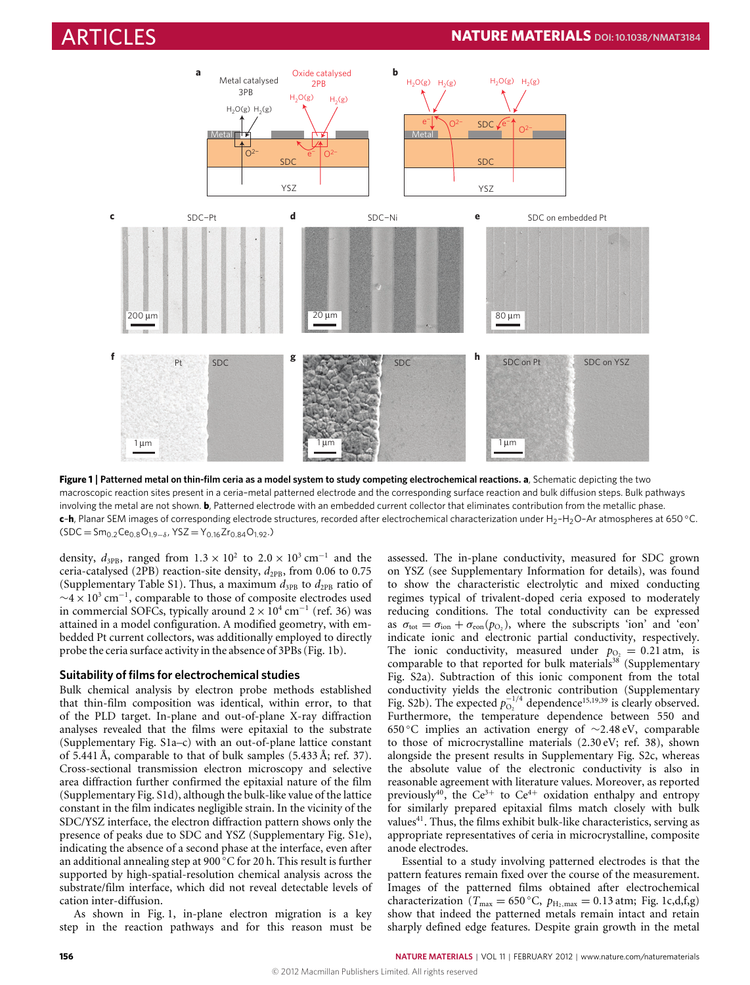

<span id="page-1-0"></span>**Figure 1** | **Patterned metal on thin-film ceria as a model system to study competing electrochemical reactions. a**, Schematic depicting the two macroscopic reaction sites present in a ceria–metal patterned electrode and the corresponding surface reaction and bulk diffusion steps. Bulk pathways involving the metal are not shown. **b**, Patterned electrode with an embedded current collector that eliminates contribution from the metallic phase. **c-h**, Planar SEM images of corresponding electrode structures, recorded after electrochemical characterization under H<sub>2</sub>-H<sub>2</sub>O–Ar atmospheres at 650 °C.  $(SDC = Sm_{0.2}Ce_{0.8}O_{1.9-\delta}$ , YSZ = Y<sub>0.16</sub>Zr<sub>0.84</sub>O<sub>1.92</sub>.)

density,  $d_{3PB}$ , ranged from  $1.3 \times 10^2$  to  $2.0 \times 10^3$  cm<sup>-1</sup> and the ceria-catalysed (2PB) reaction-site density,  $d_{2PB}$ , from 0.06 to 0.75 (Supplementary Table S1). Thus, a maximum  $d_{3PB}$  to  $d_{2PB}$  ratio of  $\sim$ 4 × 10<sup>3</sup> cm<sup>-1</sup>, comparable to those of composite electrodes used in commercial SOFCs, typically around  $2 \times 10^4$  cm<sup>-1</sup> (ref. [36\)](#page-6-7) was attained in a model configuration. A modified geometry, with embedded Pt current collectors, was additionally employed to directly probe the ceria surface activity in the absence of 3PBs [\(Fig.](#page-1-0) [1b](#page-1-0)).

# **Suitability of films for electrochemical studies**

Bulk chemical analysis by electron probe methods established that thin-film composition was identical, within error, to that of the PLD target. In-plane and out-of-plane X-ray diffraction analyses revealed that the films were epitaxial to the substrate (Supplementary Fig. S1a–c) with an out-of-plane lattice constant of 5.441 Å, comparable to that of bulk samples (5.433 Å; ref. [37\)](#page-6-8). Cross-sectional transmission electron microscopy and selective area diffraction further confirmed the epitaxial nature of the film (Supplementary Fig. S1d), although the bulk-like value of the lattice constant in the film indicates negligible strain. In the vicinity of the SDC/YSZ interface, the electron diffraction pattern shows only the presence of peaks due to SDC and YSZ (Supplementary Fig. S1e), indicating the absence of a second phase at the interface, even after an additional annealing step at 900 ◦C for 20 h. This result is further supported by high-spatial-resolution chemical analysis across the substrate/film interface, which did not reveal detectable levels of cation inter-diffusion.

As shown in [Fig.](#page-1-0) [1,](#page-1-0) in-plane electron migration is a key step in the reaction pathways and for this reason must be assessed. The in-plane conductivity, measured for SDC grown on YSZ (see Supplementary Information for details), was found to show the characteristic electrolytic and mixed conducting regimes typical of trivalent-doped ceria exposed to moderately reducing conditions. The total conductivity can be expressed as  $\sigma_{\text{tot}} = \sigma_{\text{ion}} + \sigma_{\text{eon}}(p_{\text{O}_2})$ , where the subscripts 'ion' and 'eon' indicate ionic and electronic partial conductivity, respectively. The ionic conductivity, measured under  $p_{O_2} = 0.21$  atm, is comparable to that reported for bulk materials<sup>[38](#page-6-9)</sup> (Supplementary Fig. S2a). Subtraction of this ionic component from the total conductivity yields the electronic contribution (Supplementary Fig. S2b). The expected  $p_{O_2}^{-1/4}$  dependence<sup>[15,](#page-5-7)[19](#page-5-10)[,39](#page-6-10)</sup> is clearly observed. Furthermore, the temperature dependence between 550 and 650 ◦C implies an activation energy of ∼2.48 eV, comparable to those of microcrystalline materials (2.30 eV; ref. [38\)](#page-6-9), shown alongside the present results in Supplementary Fig. S2c, whereas the absolute value of the electronic conductivity is also in reasonable agreement with literature values. Moreover, as reported previously<sup>[40](#page-6-11)</sup>, the Ce<sup>3+</sup> to Ce<sup>4+</sup> oxidation enthalpy and entropy for similarly prepared epitaxial films match closely with bulk values<sup>[41](#page-6-12)</sup>. Thus, the films exhibit bulk-like characteristics, serving as appropriate representatives of ceria in microcrystalline, composite anode electrodes.

Essential to a study involving patterned electrodes is that the pattern features remain fixed over the course of the measurement. Images of the patterned films obtained after electrochemical characterization ( $T_{\text{max}} = 650 \degree \text{C}$ ,  $p_{\text{H}_2,\text{max}} = 0.13 \text{ atm}$ ; [Fig.](#page-1-0) [1c](#page-1-0),d,f,g) show that indeed the patterned metals remain intact and retain sharply defined edge features. Despite grain growth in the metal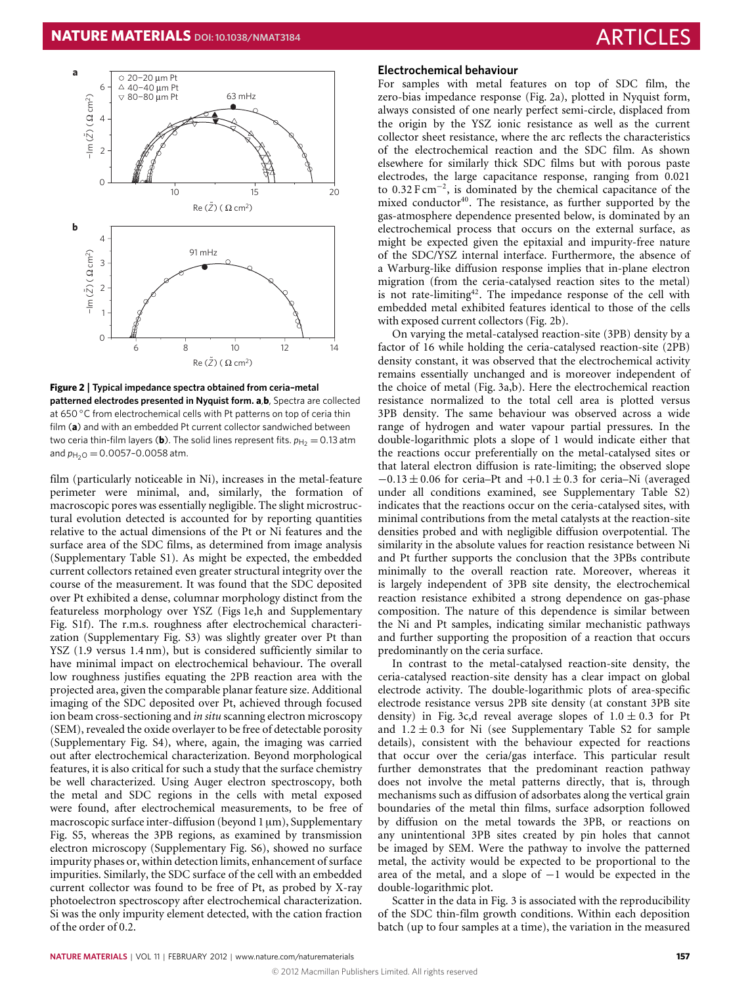

<span id="page-2-0"></span>**Figure 2** | **Typical impedance spectra obtained from ceria–metal patterned electrodes presented in Nyquist form. a**,**b**, Spectra are collected at 650 ◦C from electrochemical cells with Pt patterns on top of ceria thin film (**a**) and with an embedded Pt current collector sandwiched between two ceria thin-film layers (**b**). The solid lines represent fits.  $p_{\text{H}_2} = 0.13$  atm and  $p_{H_2O} = 0.0057 - 0.0058$  atm.

film (particularly noticeable in Ni), increases in the metal-feature perimeter were minimal, and, similarly, the formation of macroscopic pores was essentially negligible. The slight microstructural evolution detected is accounted for by reporting quantities relative to the actual dimensions of the Pt or Ni features and the surface area of the SDC films, as determined from image analysis (Supplementary Table S1). As might be expected, the embedded current collectors retained even greater structural integrity over the course of the measurement. It was found that the SDC deposited over Pt exhibited a dense, columnar morphology distinct from the featureless morphology over YSZ [\(Figs](#page-1-0) [1e](#page-1-0),h and Supplementary Fig. S1f). The r.m.s. roughness after electrochemical characterization (Supplementary Fig. S3) was slightly greater over Pt than YSZ (1.9 versus 1.4 nm), but is considered sufficiently similar to have minimal impact on electrochemical behaviour. The overall low roughness justifies equating the 2PB reaction area with the projected area, given the comparable planar feature size. Additional imaging of the SDC deposited over Pt, achieved through focused ion beam cross-sectioning and *in situ* scanning electron microscopy (SEM), revealed the oxide overlayer to be free of detectable porosity (Supplementary Fig. S4), where, again, the imaging was carried out after electrochemical characterization. Beyond morphological features, it is also critical for such a study that the surface chemistry be well characterized. Using Auger electron spectroscopy, both the metal and SDC regions in the cells with metal exposed were found, after electrochemical measurements, to be free of macroscopic surface inter-diffusion (beyond 1  $\mu$ m), Supplementary Fig. S5, whereas the 3PB regions, as examined by transmission electron microscopy (Supplementary Fig. S6), showed no surface impurity phases or, within detection limits, enhancement of surface impurities. Similarly, the SDC surface of the cell with an embedded current collector was found to be free of Pt, as probed by X-ray photoelectron spectroscopy after electrochemical characterization. Si was the only impurity element detected, with the cation fraction of the order of 0.2.

# **Electrochemical behaviour**

For samples with metal features on top of SDC film, the zero-bias impedance response [\(Fig.](#page-2-0) [2a](#page-2-0)), plotted in Nyquist form, always consisted of one nearly perfect semi-circle, displaced from the origin by the YSZ ionic resistance as well as the current collector sheet resistance, where the arc reflects the characteristics of the electrochemical reaction and the SDC film. As shown elsewhere for similarly thick SDC films but with porous paste electrodes, the large capacitance response, ranging from 0.021 to 0.32 F cm<sup>−</sup><sup>2</sup> , is dominated by the chemical capacitance of the mixed conductor<sup>[40](#page-6-11)</sup>. The resistance, as further supported by the gas-atmosphere dependence presented below, is dominated by an electrochemical process that occurs on the external surface, as might be expected given the epitaxial and impurity-free nature of the SDC/YSZ internal interface. Furthermore, the absence of a Warburg-like diffusion response implies that in-plane electron migration (from the ceria-catalysed reaction sites to the metal) is not rate-limiting<sup>[42](#page-6-13)</sup>. The impedance response of the cell with embedded metal exhibited features identical to those of the cells with exposed current collectors [\(Fig.](#page-2-0) [2b](#page-2-0)).

On varying the metal-catalysed reaction-site (3PB) density by a factor of 16 while holding the ceria-catalysed reaction-site (2PB) density constant, it was observed that the electrochemical activity remains essentially unchanged and is moreover independent of the choice of metal [\(Fig.](#page-3-0) [3a](#page-3-0),b). Here the electrochemical reaction resistance normalized to the total cell area is plotted versus 3PB density. The same behaviour was observed across a wide range of hydrogen and water vapour partial pressures. In the double-logarithmic plots a slope of 1 would indicate either that the reactions occur preferentially on the metal-catalysed sites or that lateral electron diffusion is rate-limiting; the observed slope  $-0.13 \pm 0.06$  for ceria–Pt and  $+0.1 \pm 0.3$  for ceria–Ni (averaged under all conditions examined, see Supplementary Table S2) indicates that the reactions occur on the ceria-catalysed sites, with minimal contributions from the metal catalysts at the reaction-site densities probed and with negligible diffusion overpotential. The similarity in the absolute values for reaction resistance between Ni and Pt further supports the conclusion that the 3PBs contribute minimally to the overall reaction rate. Moreover, whereas it is largely independent of 3PB site density, the electrochemical reaction resistance exhibited a strong dependence on gas-phase composition. The nature of this dependence is similar between the Ni and Pt samples, indicating similar mechanistic pathways and further supporting the proposition of a reaction that occurs predominantly on the ceria surface.

In contrast to the metal-catalysed reaction-site density, the ceria-catalysed reaction-site density has a clear impact on global electrode activity. The double-logarithmic plots of area-specific electrode resistance versus 2PB site density (at constant 3PB site density) in [Fig.](#page-3-0) [3c](#page-3-0),d reveal average slopes of  $1.0 \pm 0.3$  for Pt and  $1.2 \pm 0.3$  for Ni (see Supplementary Table S2 for sample details), consistent with the behaviour expected for reactions that occur over the ceria/gas interface. This particular result further demonstrates that the predominant reaction pathway does not involve the metal patterns directly, that is, through mechanisms such as diffusion of adsorbates along the vertical grain boundaries of the metal thin films, surface adsorption followed by diffusion on the metal towards the 3PB, or reactions on any unintentional 3PB sites created by pin holes that cannot be imaged by SEM. Were the pathway to involve the patterned metal, the activity would be expected to be proportional to the area of the metal, and a slope of −1 would be expected in the double-logarithmic plot.

Scatter in the data in [Fig.](#page-3-0) [3](#page-3-0) is associated with the reproducibility of the SDC thin-film growth conditions. Within each deposition batch (up to four samples at a time), the variation in the measured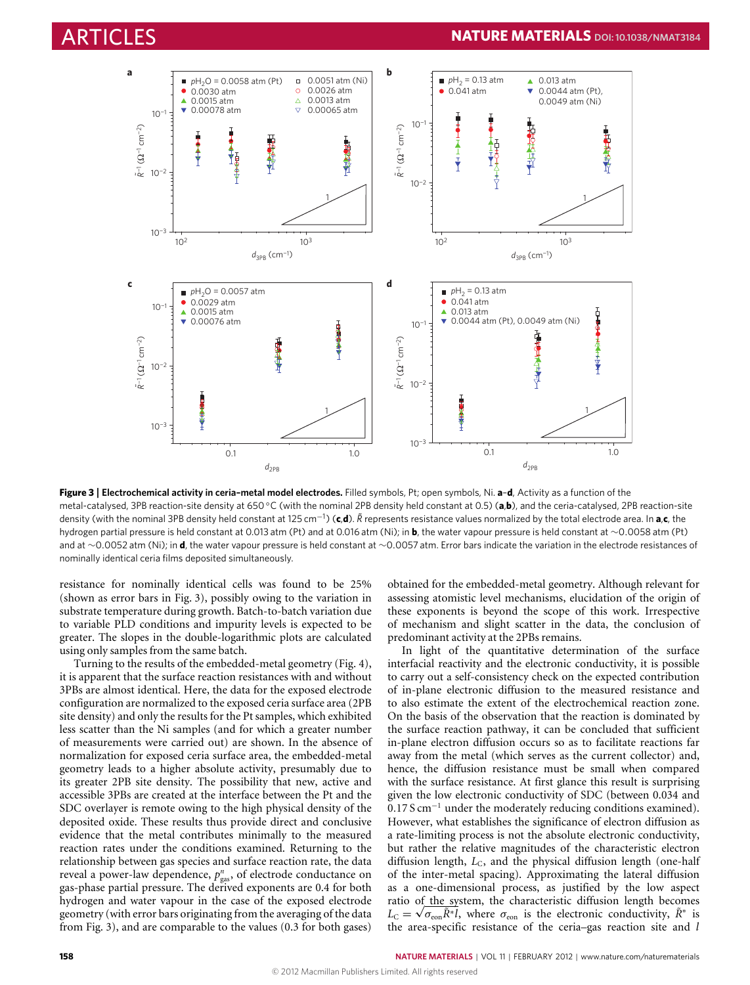

<span id="page-3-0"></span>**Figure 3** | **Electrochemical activity in ceria–metal model electrodes.** Filled symbols, Pt; open symbols, Ni. **a**–**d**, Activity as a function of the metal-catalysed, 3PB reaction-site density at 650 ◦C (with the nominal 2PB density held constant at 0.5) (**a**,**b**), and the ceria-catalysed, 2PB reaction-site density (with the nominal 3PB density held constant at 125 cm<sup>−1</sup>) (**c,d**).  $\tilde{R}$  represents resistance values normalized by the total electrode area. In **a,c**, the hydrogen partial pressure is held constant at 0.013 atm (Pt) and at 0.016 atm (Ni); in **b**, the water vapour pressure is held constant at ∼0.0058 atm (Pt) and at ∼0.0052 atm (Ni); in **d**, the water vapour pressure is held constant at ∼0.0057 atm. Error bars indicate the variation in the electrode resistances of nominally identical ceria films deposited simultaneously.

resistance for nominally identical cells was found to be 25% (shown as error bars in [Fig.](#page-3-0) [3\)](#page-3-0), possibly owing to the variation in substrate temperature during growth. Batch-to-batch variation due to variable PLD conditions and impurity levels is expected to be greater. The slopes in the double-logarithmic plots are calculated using only samples from the same batch.

Turning to the results of the embedded-metal geometry [\(Fig.](#page-4-0) [4\)](#page-4-0), it is apparent that the surface reaction resistances with and without 3PBs are almost identical. Here, the data for the exposed electrode configuration are normalized to the exposed ceria surface area (2PB site density) and only the results for the Pt samples, which exhibited less scatter than the Ni samples (and for which a greater number of measurements were carried out) are shown. In the absence of normalization for exposed ceria surface area, the embedded-metal geometry leads to a higher absolute activity, presumably due to its greater 2PB site density. The possibility that new, active and accessible 3PBs are created at the interface between the Pt and the SDC overlayer is remote owing to the high physical density of the deposited oxide. These results thus provide direct and conclusive evidence that the metal contributes minimally to the measured reaction rates under the conditions examined. Returning to the relationship between gas species and surface reaction rate, the data reveal a power-law dependence,  $p_{\text{gas}}^n$ , of electrode conductance on gas-phase partial pressure. The derived exponents are 0.4 for both hydrogen and water vapour in the case of the exposed electrode geometry (with error bars originating from the averaging of the data from [Fig.](#page-3-0) [3\)](#page-3-0), and are comparable to the values (0.3 for both gases) obtained for the embedded-metal geometry. Although relevant for assessing atomistic level mechanisms, elucidation of the origin of these exponents is beyond the scope of this work. Irrespective of mechanism and slight scatter in the data, the conclusion of predominant activity at the 2PBs remains.

In light of the quantitative determination of the surface interfacial reactivity and the electronic conductivity, it is possible to carry out a self-consistency check on the expected contribution of in-plane electronic diffusion to the measured resistance and to also estimate the extent of the electrochemical reaction zone. On the basis of the observation that the reaction is dominated by the surface reaction pathway, it can be concluded that sufficient in-plane electron diffusion occurs so as to facilitate reactions far away from the metal (which serves as the current collector) and, hence, the diffusion resistance must be small when compared with the surface resistance. At first glance this result is surprising given the low electronic conductivity of SDC (between 0.034 and 0.17 S cm<sup>−</sup><sup>1</sup> under the moderately reducing conditions examined). However, what establishes the significance of electron diffusion as a rate-limiting process is not the absolute electronic conductivity, but rather the relative magnitudes of the characteristic electron diffusion length, *L*<sub>C</sub>, and the physical diffusion length (one-half of the inter-metal spacing). Approximating the lateral diffusion as a one-dimensional process, as justified by the low aspect ratio of the system, the characteristic diffusion length becomes  $L_{\text{C}} = \sqrt{\sigma_{\text{eon}} \tilde{R}^* l}$ , where  $\sigma_{\text{eon}}$  is the electronic conductivity,  $\tilde{R}^*$  is the area-specific resistance of the ceria–gas reaction site and *l*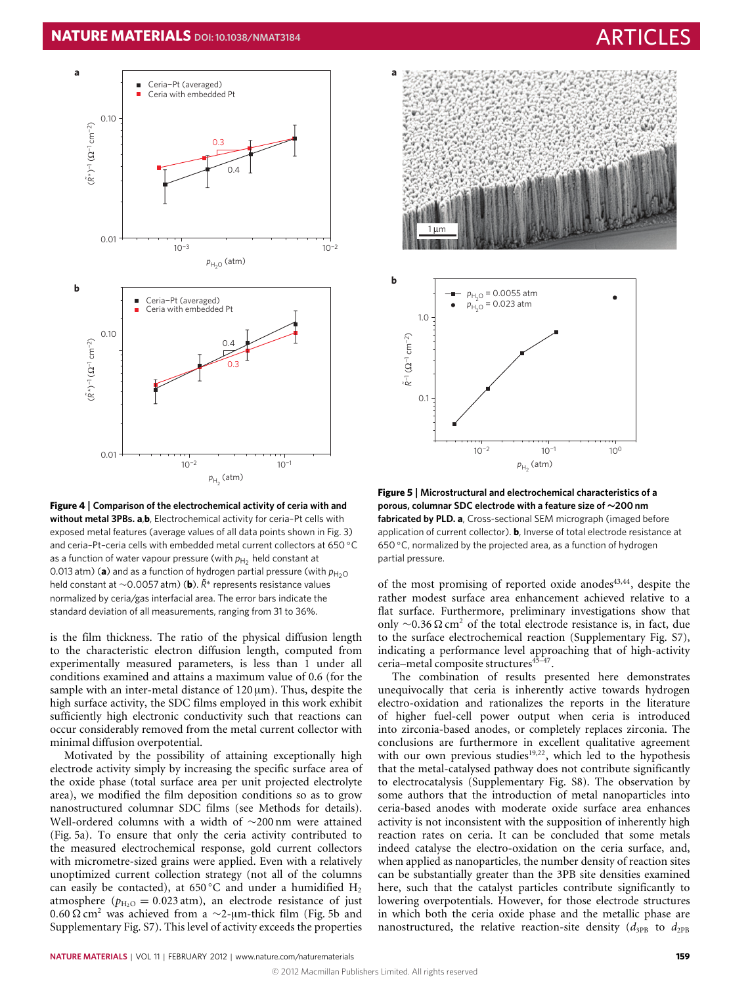# **NATURE MATERIALS** DOI: [10.1038/NMAT3184](http://www.nature.com/doifinder/10.1038/nmat3184)



<span id="page-4-0"></span>**Figure 4** | **Comparison of the electrochemical activity of ceria with and without metal 3PBs. a**,**b**, Electrochemical activity for ceria–Pt cells with exposed metal features (average values of all data points shown in Fig. 3) and ceria–Pt–ceria cells with embedded metal current collectors at 650 ◦C as a function of water vapour pressure (with  $p_{\mathsf{H}_2}$  held constant at 0.013 atm) (a) and as a function of hydrogen partial pressure (with  $p_{\text{H}_2\text{O}}$ held constant at ∼0.0057 atm) (**b**). *R˜*<sup>∗</sup> represents resistance values normalized by ceria/gas interfacial area. The error bars indicate the standard deviation of all measurements, ranging from 31 to 36%.

is the film thickness. The ratio of the physical diffusion length to the characteristic electron diffusion length, computed from experimentally measured parameters, is less than 1 under all conditions examined and attains a maximum value of 0.6 (for the sample with an inter-metal distance of  $120 \,\text{\upmu m}$ ). Thus, despite the high surface activity, the SDC films employed in this work exhibit sufficiently high electronic conductivity such that reactions can occur considerably removed from the metal current collector with minimal diffusion overpotential.

Motivated by the possibility of attaining exceptionally high electrode activity simply by increasing the specific surface area of the oxide phase (total surface area per unit projected electrolyte area), we modified the film deposition conditions so as to grow nanostructured columnar SDC films (see Methods for details). Well-ordered columns with a width of ∼200 nm were attained [\(Fig.](#page-4-1) [5a](#page-4-1)). To ensure that only the ceria activity contributed to the measured electrochemical response, gold current collectors with micrometre-sized grains were applied. Even with a relatively unoptimized current collection strategy (not all of the columns can easily be contacted), at 650 °C and under a humidified  $H_2$ atmosphere ( $p_{\text{H}_2\text{O}} = 0.023$  atm), an electrode resistance of just 0.60 Ω cm<sup>2</sup> was achieved from a  $\sim$ 2-μm-thick film [\(Fig.](#page-4-1) [5b](#page-4-1) and Supplementary Fig. S7). This level of activity exceeds the properties



**Figure 5** | **Microstructural and electrochemical characteristics of a porous, columnar SDC electrode with a feature size of** ∼**200 nm fabricated by PLD. a**, Cross-sectional SEM micrograph (imaged before application of current collector). **b**, Inverse of total electrode resistance at 650 ◦C, normalized by the projected area, as a function of hydrogen partial pressure.

<span id="page-4-1"></span>of the most promising of reported oxide anodes $43,44$  $43,44$ , despite the rather modest surface area enhancement achieved relative to a flat surface. Furthermore, preliminary investigations show that only  $\sim$ 0.36 Ω cm<sup>2</sup> of the total electrode resistance is, in fact, due to the surface electrochemical reaction (Supplementary Fig. S7), indicating a performance level approaching that of high-activity ceria-metal composite structures<sup>45-[47](#page-6-17)</sup>.

The combination of results presented here demonstrates unequivocally that ceria is inherently active towards hydrogen electro-oxidation and rationalizes the reports in the literature of higher fuel-cell power output when ceria is introduced into zirconia-based anodes, or completely replaces zirconia. The conclusions are furthermore in excellent qualitative agreement with our own previous studies<sup>[19,](#page-5-10)[22](#page-5-12)</sup>, which led to the hypothesis that the metal-catalysed pathway does not contribute significantly to electrocatalysis (Supplementary Fig. S8). The observation by some authors that the introduction of metal nanoparticles into ceria-based anodes with moderate oxide surface area enhances activity is not inconsistent with the supposition of inherently high reaction rates on ceria. It can be concluded that some metals indeed catalyse the electro-oxidation on the ceria surface, and, when applied as nanoparticles, the number density of reaction sites can be substantially greater than the 3PB site densities examined here, such that the catalyst particles contribute significantly to lowering overpotentials. However, for those electrode structures in which both the ceria oxide phase and the metallic phase are nanostructured, the relative reaction-site density  $(d_{3PB}$  to  $d_{2PB}$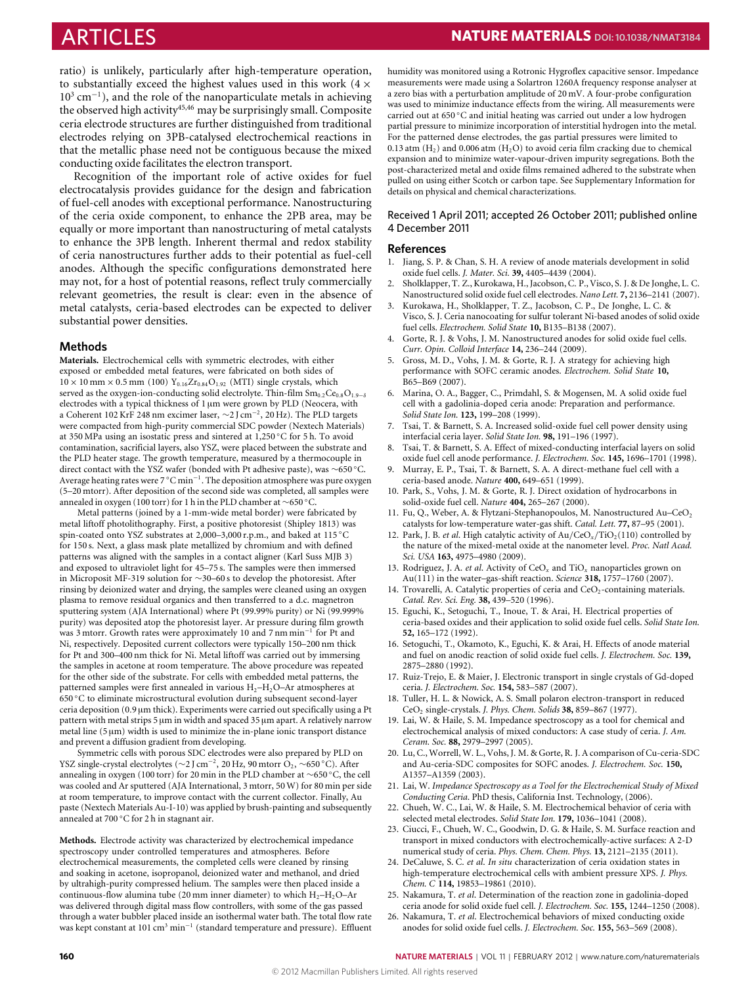ARTICLES **NATURE MATERIALS DOI:[10.1038/NMAT3184](http://www.nature.com/doifinder/10.1038/nmat3184)**

ratio) is unlikely, particularly after high-temperature operation, to substantially exceed the highest values used in this work  $(4 \times$ 10<sup>3</sup> cm<sup>−</sup><sup>1</sup> ), and the role of the nanoparticulate metals in achieving the observed high activity<sup>[45](#page-6-16)[,46](#page-6-18)</sup> may be surprisingly small. Composite ceria electrode structures are further distinguished from traditional electrodes relying on 3PB-catalysed electrochemical reactions in that the metallic phase need not be contiguous because the mixed conducting oxide facilitates the electron transport.

Recognition of the important role of active oxides for fuel electrocatalysis provides guidance for the design and fabrication of fuel-cell anodes with exceptional performance. Nanostructuring of the ceria oxide component, to enhance the 2PB area, may be equally or more important than nanostructuring of metal catalysts to enhance the 3PB length. Inherent thermal and redox stability of ceria nanostructures further adds to their potential as fuel-cell anodes. Although the specific configurations demonstrated here may not, for a host of potential reasons, reflect truly commercially relevant geometries, the result is clear: even in the absence of metal catalysts, ceria-based electrodes can be expected to deliver substantial power densities.

#### **Methods**

**Materials.** Electrochemical cells with symmetric electrodes, with either exposed or embedded metal features, were fabricated on both sides of  $10 \times 10$  mm  $\times$  0.5 mm (100) Y<sub>0.16</sub>Zr<sub>0.84</sub>O<sub>1.92</sub> (MTI) single crystals, which served as the oxygen-ion-conducting solid electrolyte. Thin-film  $Sm_{0.2}Ce_{0.8}O_{1.9-\delta}$ electrodes with a typical thickness of 1 µm were grown by PLD (Neocera, with a Coherent 102 KrF 248 nm excimer laser, ∼2 J cm<sup>−</sup><sup>2</sup> , 20 Hz). The PLD targets were compacted from high-purity commercial SDC powder (Nextech Materials) at 350 MPa using an isostatic press and sintered at 1,250 ◦C for 5 h. To avoid contamination, sacrificial layers, also YSZ, were placed between the substrate and the PLD heater stage. The growth temperature, measured by a thermocouple in direct contact with the YSZ wafer (bonded with Pt adhesive paste), was ∼650 ◦C. Average heating rates were 7 °C min<sup>-1</sup>. The deposition atmosphere was pure oxygen (5–20 mtorr). After deposition of the second side was completed, all samples were annealed in oxygen (100 torr) for 1 h in the PLD chamber at ∼650 ◦C.

Metal patterns (joined by a 1-mm-wide metal border) were fabricated by metal liftoff photolithography. First, a positive photoresist (Shipley 1813) was spin-coated onto YSZ substrates at 2,000–3,000 r.p.m., and baked at 115 °C for 150 s. Next, a glass mask plate metallized by chromium and with defined patterns was aligned with the samples in a contact aligner (Karl Suss MJB 3) and exposed to ultraviolet light for 45–75 s. The samples were then immersed in Microposit MF-319 solution for ∼30–60 s to develop the photoresist. After rinsing by deionized water and drying, the samples were cleaned using an oxygen plasma to remove residual organics and then transferred to a d.c. magnetron sputtering system (AJA International) where Pt (99.99% purity) or Ni (99.999% purity) was deposited atop the photoresist layer. Ar pressure during film growth was 3 mtorr. Growth rates were approximately 10 and 7 nm min<sup>−</sup><sup>1</sup> for Pt and Ni, respectively. Deposited current collectors were typically 150–200 nm thick for Pt and 300–400 nm thick for Ni. Metal liftoff was carried out by immersing the samples in acetone at room temperature. The above procedure was repeated for the other side of the substrate. For cells with embedded metal patterns, the patterned samples were first annealed in various  $H_2-H_2O-Ar$  atmospheres at 650 ◦C to eliminate microstructural evolution during subsequent second-layer ceria deposition (0.9 µm thick). Experiments were carried out specifically using a Pt pattern with metal strips 5 µm in width and spaced 35 µm apart. A relatively narrow metal line  $(5 \mu m)$  width is used to minimize the in-plane ionic transport distance and prevent a diffusion gradient from developing.

Symmetric cells with porous SDC electrodes were also prepared by PLD on YSZ single-crystal electrolytes ( $\sim$ 2 J cm<sup>-2</sup>, 20 Hz, 90 mtorr O<sub>2</sub>,  $\sim$ 650 °C). After annealing in oxygen (100 torr) for 20 min in the PLD chamber at ∼650 ◦C, the cell was cooled and Ar sputtered (AJA International, 3 mtorr, 50 W) for 80 min per side at room temperature, to improve contact with the current collector. Finally, Au paste (Nextech Materials Au-I-10) was applied by brush-painting and subsequently annealed at 700 ◦C for 2 h in stagnant air.

**Methods.** Electrode activity was characterized by electrochemical impedance spectroscopy under controlled temperatures and atmospheres. Before electrochemical measurements, the completed cells were cleaned by rinsing and soaking in acetone, isopropanol, deionized water and methanol, and dried by ultrahigh-purity compressed helium. The samples were then placed inside a continuous-flow alumina tube (20 mm inner diameter) to which  $H_2-H_2O-Ar$ was delivered through digital mass flow controllers, with some of the gas passed through a water bubbler placed inside an isothermal water bath. The total flow rate was kept constant at 101 cm<sup>3</sup> min<sup>-1</sup> (standard temperature and pressure). Effluent

humidity was monitored using a Rotronic Hygroflex capacitive sensor. Impedance measurements were made using a Solartron 1260A frequency response analyser at a zero bias with a perturbation amplitude of 20 mV. A four-probe configuration was used to minimize inductance effects from the wiring. All measurements were carried out at 650 ◦C and initial heating was carried out under a low hydrogen partial pressure to minimize incorporation of interstitial hydrogen into the metal. For the patterned dense electrodes, the gas partial pressures were limited to 0.13 atm  $(H<sub>2</sub>)$  and 0.006 atm  $(H<sub>2</sub>O)$  to avoid ceria film cracking due to chemical expansion and to minimize water-vapour-driven impurity segregations. Both the post-characterized metal and oxide films remained adhered to the substrate when pulled on using either Scotch or carbon tape. See Supplementary Information for details on physical and chemical characterizations.

### Received 1 April 2011; accepted 26 October 2011; published online 4 December 2011

#### **References**

- <span id="page-5-0"></span>1. Jiang, S. P. & Chan, S. H. A review of anode materials development in solid oxide fuel cells. *J. Mater. Sci.* **39,** 4405–4439 (2004).
- 2. Sholklapper, T. Z., Kurokawa, H., Jacobson, C. P., Visco, S. J. & De Jonghe, L. C. Nanostructured solid oxide fuel cell electrodes. *Nano Lett.* **7,** 2136–2141 (2007).
- 3. Kurokawa, H., Sholklapper, T. Z., Jacobson, C. P., De Jonghe, L. C. & Visco, S. J. Ceria nanocoating for sulfur tolerant Ni-based anodes of solid oxide fuel cells. *Electrochem. Solid State* **10,** B135–B138 (2007).
- 4. Gorte, R. J. & Vohs, J. M. Nanostructured anodes for solid oxide fuel cells. *Curr. Opin. Colloid Interface* **14,** 236–244 (2009).
- <span id="page-5-11"></span>5. Gross, M. D., Vohs, J. M. & Gorte, R. J. A strategy for achieving high performance with SOFC ceramic anodes. *Electrochem. Solid State* **10,** B65–B69 (2007).
- <span id="page-5-6"></span>6. Marina, O. A., Bagger, C., Primdahl, S. & Mogensen, M. A solid oxide fuel cell with a gadolinia-doped ceria anode: Preparation and performance. *Solid State Ion.* **123,** 199–208 (1999).
- 7. Tsai, T. & Barnett, S. A. Increased solid-oxide fuel cell power density using interfacial ceria layer. *Solid State Ion.* **98,** 191–196 (1997).
- <span id="page-5-1"></span>8. Tsai, T. & Barnett, S. A. Effect of mixed-conducting interfacial layers on solid oxide fuel cell anode performance. *J. Electrochem. Soc.* **145,** 1696–1701 (1998).
- <span id="page-5-2"></span>9. Murray, E. P., Tsai, T. & Barnett, S. A. A direct-methane fuel cell with a ceria-based anode. *Nature* **400,** 649–651 (1999).
- <span id="page-5-3"></span>10. Park, S., Vohs, J. M. & Gorte, R. J. Direct oxidation of hydrocarbons in solid-oxide fuel cell. *Nature* **404,** 265–267 (2000).
- <span id="page-5-4"></span>11. Fu, Q., Weber, A. & Flytzani-Stephanopoulos, M. Nanostructured Au–CeO<sub>2</sub> catalysts for low-temperature water-gas shift. *Catal. Lett.* **77,** 87–95 (2001).
- 12. Park, J. B. *et al.* High catalytic activity of  $Au/CeO<sub>x</sub>/TiO<sub>2</sub>(110)$  controlled by the nature of the mixed-metal oxide at the nanometer level. *Proc. Natl Acad. Sci. USA* **163,** 4975–4980 (2009).
- 13. Rodriguez, J. A. *et al*. Activity of CeO*<sup>x</sup>* and TiO*<sup>x</sup>* nanoparticles grown on Au(111) in the water–gas-shift reaction. *Science* **318,** 1757–1760 (2007).
- <span id="page-5-5"></span>14. Trovarelli, A. Catalytic properties of ceria and  $CeO<sub>2</sub>$ -containing materials. *Catal. Rev. Sci. Eng.* **38,** 439–520 (1996).
- <span id="page-5-7"></span>15. Eguchi, K., Setoguchi, T., Inoue, T. & Arai, H. Electrical properties of ceria-based oxides and their application to solid oxide fuel cells. *Solid State Ion.* **52,** 165–172 (1992).
- <span id="page-5-8"></span>16. Setoguchi, T., Okamoto, K., Eguchi, K. & Arai, H. Effects of anode material and fuel on anodic reaction of solid oxide fuel cells. *J. Electrochem. Soc.* **139,** 2875–2880 (1992).
- <span id="page-5-9"></span>17. Ruiz-Trejo, E. & Maier, J. Electronic transport in single crystals of Gd-doped ceria. *J. Electrochem. Soc.* **154,** 583–587 (2007).
- 18. Tuller, H. L. & Nowick, A. S. Small polaron electron-transport in reduced CeO<sup>2</sup> single-crystals. *J. Phys. Chem. Solids* **38,** 859–867 (1977).
- <span id="page-5-10"></span>19. Lai, W. & Haile, S. M. Impedance spectroscopy as a tool for chemical and electrochemical analysis of mixed conductors: A case study of ceria. *J. Am. Ceram. Soc.* **88,** 2979–2997 (2005).
- 20. Lu, C., Worrell, W. L., Vohs, J. M. & Gorte, R. J. A comparison of Cu-ceria-SDC and Au-ceria-SDC composites for SOFC anodes. *J. Electrochem. Soc.* **150,** A1357–A1359 (2003).
- 21. Lai, W. *Impedance Spectroscopy as a Tool for the Electrochemical Study of Mixed Conducting Ceria*. PhD thesis, California Inst. Technology, (2006).
- <span id="page-5-12"></span>22. Chueh, W. C., Lai, W. & Haile, S. M. Electrochemical behavior of ceria with selected metal electrodes. *Solid State Ion.* **179,** 1036–1041 (2008).
- 23. Ciucci, F., Chueh, W. C., Goodwin, D. G. & Haile, S. M. Surface reaction and transport in mixed conductors with electrochemically-active surfaces: A 2-D numerical study of ceria. *Phys. Chem. Chem. Phys.* **13,** 2121–2135 (2011).
- 24. DeCaluwe, S. C. *et al*. *In situ* characterization of ceria oxidation states in high-temperature electrochemical cells with ambient pressure XPS. *J. Phys. Chem. C* **114,** 19853–19861 (2010).
- 25. Nakamura, T. *et al*. Determination of the reaction zone in gadolinia-doped ceria anode for solid oxide fuel cell. *J. Electrochem. Soc.* **155,** 1244–1250 (2008).
- 26. Nakamura, T. *et al*. Electrochemical behaviors of mixed conducting oxide anodes for solid oxide fuel cells. *J. Electrochem. Soc.* **155,** 563–569 (2008).